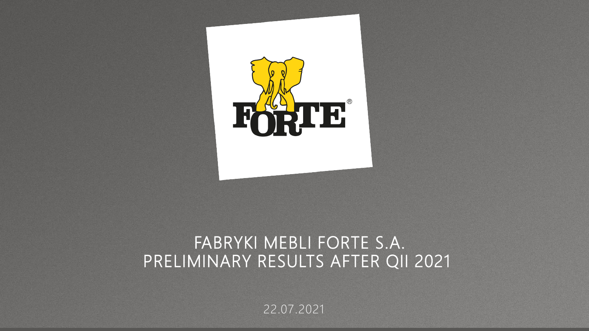

## FABRYKI MEBLI FORTE S.A. PRELIMINARY RESULTS AFTER QII 2021

22.07.2021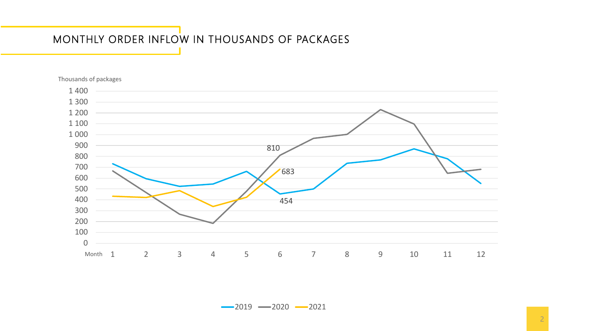## MONTHLY ORDER INFLOW IN THOUSANDS OF PACKAGES



Thousands of packages

 $-2019 - 2020 - 2021$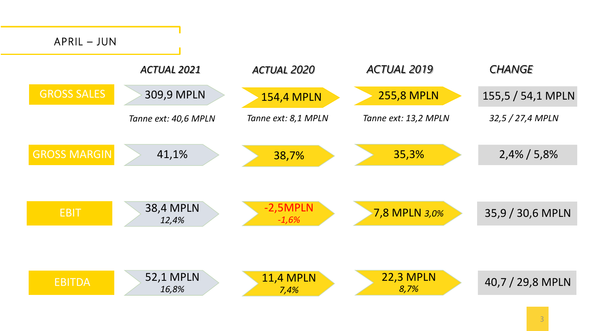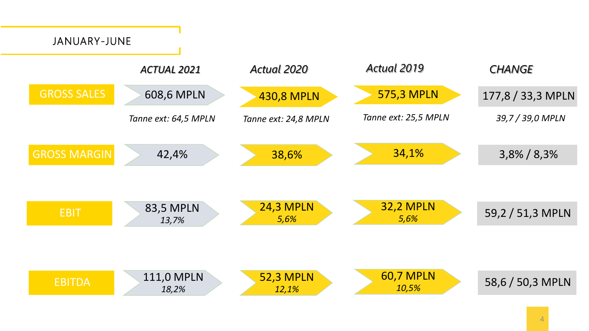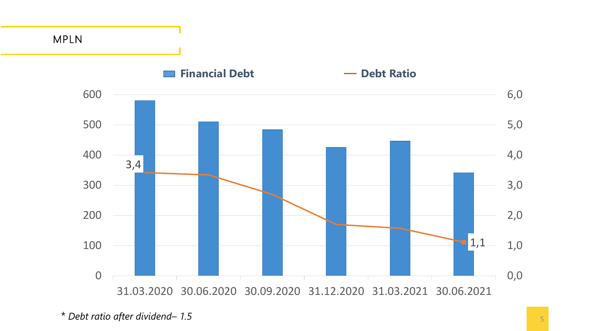

*<sup>\*</sup> Debt ratio after dividend– 1.5*